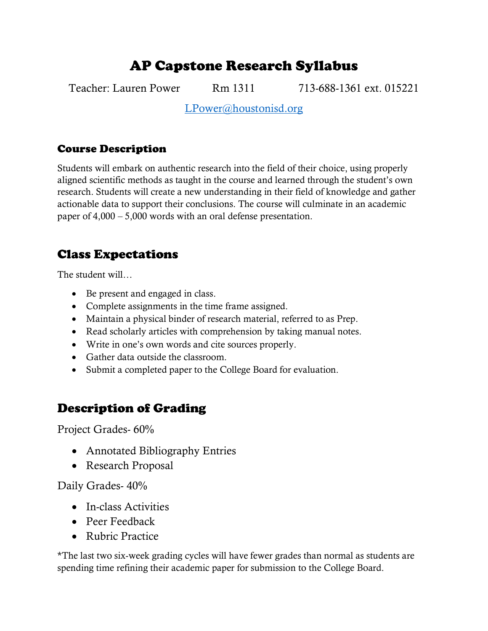# AP Capstone Research Syllabus

Teacher: Lauren Power Rm 1311 713-688-1361 ext. 015221

[LPower@houstonisd.org](mailto:LPower@houstonisd.org)

### Course Description

Students will embark on authentic research into the field of their choice, using properly aligned scientific methods as taught in the course and learned through the student's own research. Students will create a new understanding in their field of knowledge and gather actionable data to support their conclusions. The course will culminate in an academic paper of 4,000 – 5,000 words with an oral defense presentation.

### Class Expectations

The student will…

- Be present and engaged in class.
- Complete assignments in the time frame assigned.
- Maintain a physical binder of research material, referred to as Prep.
- Read scholarly articles with comprehension by taking manual notes.
- Write in one's own words and cite sources properly.
- Gather data outside the classroom.
- Submit a completed paper to the College Board for evaluation.

## Description of Grading

Project Grades- 60%

- Annotated Bibliography Entries
- Research Proposal

### Daily Grades- 40%

- In-class Activities
- Peer Feedback
- Rubric Practice

\*The last two six-week grading cycles will have fewer grades than normal as students are spending time refining their academic paper for submission to the College Board.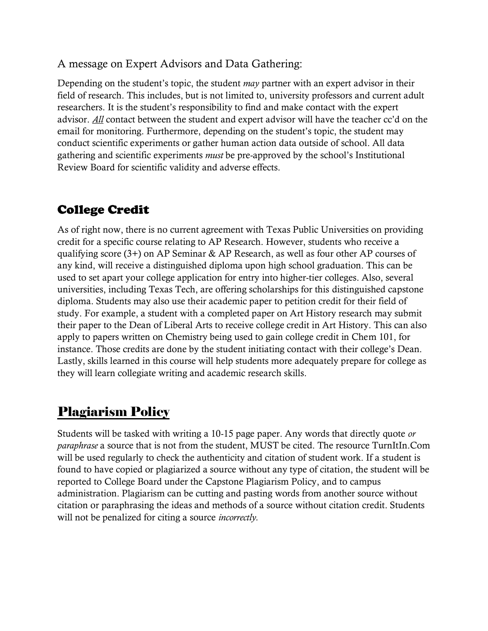### A message on Expert Advisors and Data Gathering:

Depending on the student's topic, the student *may* partner with an expert advisor in their field of research. This includes, but is not limited to, university professors and current adult researchers. It is the student's responsibility to find and make contact with the expert advisor. *All* contact between the student and expert advisor will have the teacher cc'd on the email for monitoring. Furthermore, depending on the student's topic, the student may conduct scientific experiments or gather human action data outside of school. All data gathering and scientific experiments *must* be pre-approved by the school's Institutional Review Board for scientific validity and adverse effects.

## College Credit

As of right now, there is no current agreement with Texas Public Universities on providing credit for a specific course relating to AP Research. However, students who receive a qualifying score (3+) on AP Seminar & AP Research, as well as four other AP courses of any kind, will receive a distinguished diploma upon high school graduation. This can be used to set apart your college application for entry into higher-tier colleges. Also, several universities, including Texas Tech, are offering scholarships for this distinguished capstone diploma. Students may also use their academic paper to petition credit for their field of study. For example, a student with a completed paper on Art History research may submit their paper to the Dean of Liberal Arts to receive college credit in Art History. This can also apply to papers written on Chemistry being used to gain college credit in Chem 101, for instance. Those credits are done by the student initiating contact with their college's Dean. Lastly, skills learned in this course will help students more adequately prepare for college as they will learn collegiate writing and academic research skills.

## Plagiarism Policy

Students will be tasked with writing a 10-15 page paper. Any words that directly quote *or paraphrase* a source that is not from the student, MUST be cited. The resource TurnItIn.Com will be used regularly to check the authenticity and citation of student work. If a student is found to have copied or plagiarized a source without any type of citation, the student will be reported to College Board under the Capstone Plagiarism Policy, and to campus administration. Plagiarism can be cutting and pasting words from another source without citation or paraphrasing the ideas and methods of a source without citation credit. Students will not be penalized for citing a source *incorrectly.*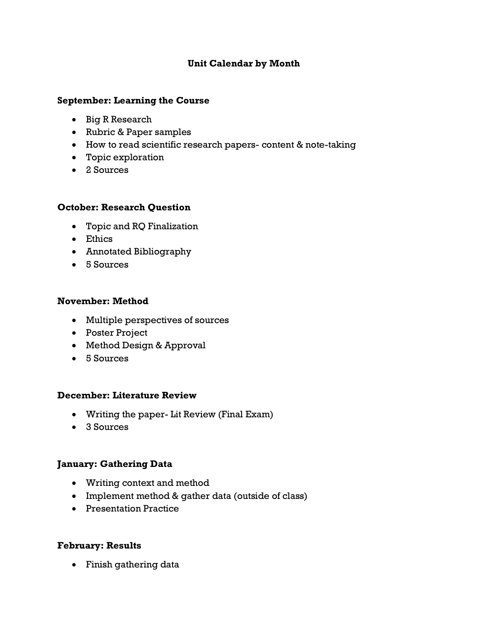#### **Unit Calendar by Month**

#### **September: Learning the Course**

- Big R Research
- Rubric & Paper samples
- How to read scientific research papers- content & note-taking
- Topic exploration
- 2 Sources

#### **October: Research Question**

- Topic and RQ Finalization
- Ethics
- Annotated Bibliography
- 5 Sources

#### **November: Method**

- Multiple perspectives of sources
- Poster Project
- Method Design & Approval
- 5 Sources

#### **December: Literature Review**

- Writing the paper- Lit Review (Final Exam)
- 3 Sources

#### **January: Gathering Data**

- Writing context and method
- Implement method & gather data (outside of class)
- Presentation Practice

#### **February: Results**

• Finish gathering data